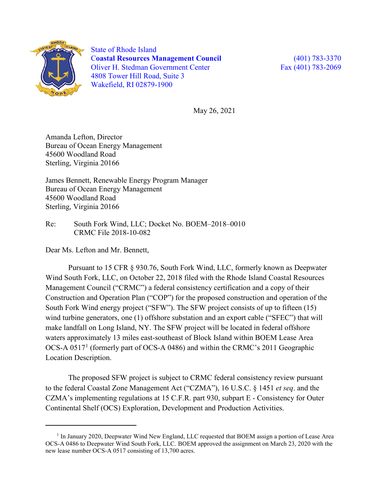

 $\overline{a}$ 

State of Rhode Island C**oastal Resources Management Council** (401) 783-3370 Oliver H. Stedman Government Center Fax (401) 783-2069 4808 Tower Hill Road, Suite 3 Wakefield, RI 02879-1900

May 26, 2021

Amanda Lefton, Director Bureau of Ocean Energy Management 45600 Woodland Road Sterling, Virginia 20166

James Bennett, Renewable Energy Program Manager Bureau of Ocean Energy Management 45600 Woodland Road Sterling, Virginia 20166

Re: South Fork Wind, LLC; Docket No. BOEM–2018–0010 CRMC File 2018-10-082

Dear Ms. Lefton and Mr. Bennett,

Pursuant to 15 CFR § 930.76, South Fork Wind, LLC, formerly known as Deepwater Wind South Fork, LLC, on October 22, 2018 filed with the Rhode Island Coastal Resources Management Council ("CRMC") a federal consistency certification and a copy of their Construction and Operation Plan ("COP") for the proposed construction and operation of the South Fork Wind energy project ("SFW"). The SFW project consists of up to fifteen (15) wind turbine generators, one (1) offshore substation and an export cable ("SFEC") that will make landfall on Long Island, NY. The SFW project will be located in federal offshore waters approximately 13 miles east-southeast of Block Island within BOEM Lease Area OCS-A 0517[1](#page-0-0) (formerly part of OCS-A 0486) and within the CRMC's 2011 Geographic Location Description.

The proposed SFW project is subject to CRMC federal consistency review pursuant to the federal Coastal Zone Management Act ("CZMA"), 16 U.S.C. § 1451 *et seq*. and the CZMA's implementing regulations at 15 C.F.R. part 930, subpart E - Consistency for Outer Continental Shelf (OCS) Exploration, Development and Production Activities.

<span id="page-0-0"></span><sup>&</sup>lt;sup>1</sup> In January 2020, Deepwater Wind New England, LLC requested that BOEM assign a portion of Lease Area OCS-A 0486 to Deepwater Wind South Fork, LLC. BOEM approved the assignment on March 23, 2020 with the new lease number OCS-A 0517 consisting of 13,700 acres.